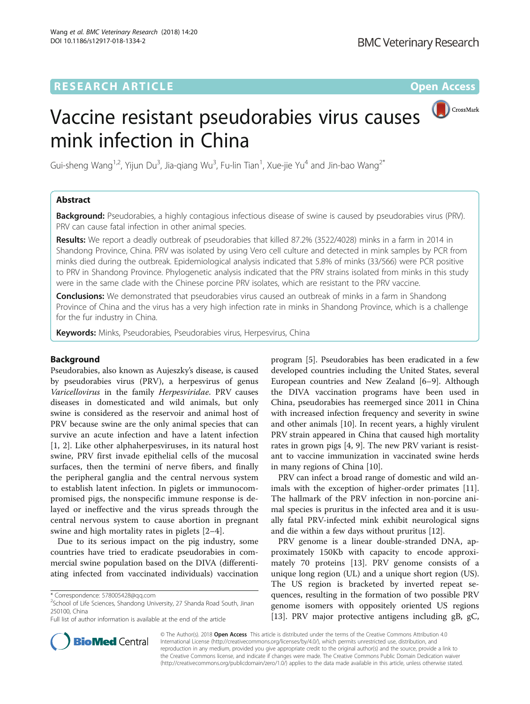# **RESEARCH ARTICLE External Structure Community Community Community Community Community Community Community Community**



Gui-sheng Wang<sup>1,2</sup>, Yijun Du<sup>3</sup>, Jia-qiang Wu<sup>3</sup>, Fu-lin Tian<sup>1</sup>, Xue-jie Yu<sup>4</sup> and Jin-bao Wang<sup>2\*</sup>

# Abstract

**Background:** Pseudorabies, a highly contagious infectious disease of swine is caused by pseudorabies virus (PRV). PRV can cause fatal infection in other animal species.

Results: We report a deadly outbreak of pseudorabies that killed 87.2% (3522/4028) minks in a farm in 2014 in Shandong Province, China. PRV was isolated by using Vero cell culture and detected in mink samples by PCR from minks died during the outbreak. Epidemiological analysis indicated that 5.8% of minks (33/566) were PCR positive to PRV in Shandong Province. Phylogenetic analysis indicated that the PRV strains isolated from minks in this study were in the same clade with the Chinese porcine PRV isolates, which are resistant to the PRV vaccine.

**Conclusions:** We demonstrated that pseudorabies virus caused an outbreak of minks in a farm in Shandong Province of China and the virus has a very high infection rate in minks in Shandong Province, which is a challenge for the fur industry in China.

Keywords: Minks, Pseudorabies, Pseudorabies virus, Herpesvirus, China

# Background

Pseudorabies, also known as Aujeszky's disease, is caused by pseudorabies virus (PRV), a herpesvirus of genus Varicellovirus in the family Herpesviridae. PRV causes diseases in domesticated and wild animals, but only swine is considered as the reservoir and animal host of PRV because swine are the only animal species that can survive an acute infection and have a latent infection [[1, 2\]](#page-6-0). Like other alphaherpesviruses, in its natural host swine, PRV first invade epithelial cells of the mucosal surfaces, then the termini of nerve fibers, and finally the peripheral ganglia and the central nervous system to establish latent infection. In piglets or immunocompromised pigs, the nonspecific immune response is delayed or ineffective and the virus spreads through the central nervous system to cause abortion in pregnant swine and high mortality rates in piglets [[2](#page-6-0)–[4\]](#page-6-0).

Due to its serious impact on the pig industry, some countries have tried to eradicate pseudorabies in commercial swine population based on the DIVA (differentiating infected from vaccinated individuals) vaccination

 $2$ School of Life Sciences, Shandong University, 27 Shanda Road South, Jinan 250100, China

program [[5\]](#page-6-0). Pseudorabies has been eradicated in a few developed countries including the United States, several European countries and New Zealand [\[6](#page-6-0)–[9](#page-6-0)]. Although the DIVA vaccination programs have been used in China, pseudorabies has reemerged since 2011 in China with increased infection frequency and severity in swine and other animals [[10\]](#page-6-0). In recent years, a highly virulent PRV strain appeared in China that caused high mortality rates in grown pigs [[4, 9\]](#page-6-0). The new PRV variant is resistant to vaccine immunization in vaccinated swine herds in many regions of China [[10\]](#page-6-0).

PRV can infect a broad range of domestic and wild animals with the exception of higher-order primates [\[11](#page-6-0)]. The hallmark of the PRV infection in non-porcine animal species is pruritus in the infected area and it is usually fatal PRV-infected mink exhibit neurological signs and die within a few days without pruritus [\[12\]](#page-6-0).

PRV genome is a linear double-stranded DNA, approximately 150Kb with capacity to encode approximately 70 proteins [\[13](#page-6-0)]. PRV genome consists of a unique long region (UL) and a unique short region (US). The US region is bracketed by inverted repeat sequences, resulting in the formation of two possible PRV genome isomers with oppositely oriented US regions [[13\]](#page-6-0). PRV major protective antigens including gB, gC,



© The Author(s). 2018 Open Access This article is distributed under the terms of the Creative Commons Attribution 4.0 International License [\(http://creativecommons.org/licenses/by/4.0/](http://creativecommons.org/licenses/by/4.0/)), which permits unrestricted use, distribution, and reproduction in any medium, provided you give appropriate credit to the original author(s) and the source, provide a link to the Creative Commons license, and indicate if changes were made. The Creative Commons Public Domain Dedication waiver [\(http://creativecommons.org/publicdomain/zero/1.0/](http://creativecommons.org/publicdomain/zero/1.0/)) applies to the data made available in this article, unless otherwise stated.

<sup>\*</sup> Correspondence: [578005428@qq.com](mailto:578005428@qq.com) <sup>2</sup>

Full list of author information is available at the end of the article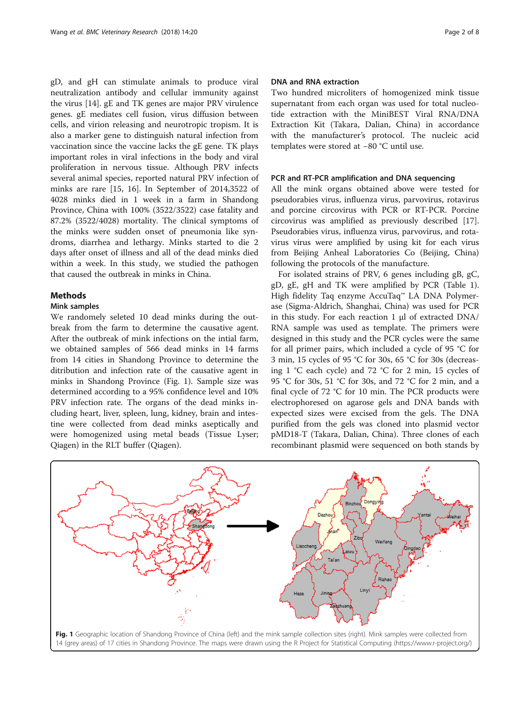gD, and gH can stimulate animals to produce viral neutralization antibody and cellular immunity against the virus [[14\]](#page-6-0). gE and TK genes are major PRV virulence genes. gE mediates cell fusion, virus diffusion between cells, and virion releasing and neurotropic tropism. It is also a marker gene to distinguish natural infection from vaccination since the vaccine lacks the gE gene. TK plays important roles in viral infections in the body and viral proliferation in nervous tissue. Although PRV infects several animal species, reported natural PRV infection of minks are rare [[15, 16](#page-6-0)]. In September of 2014,3522 of 4028 minks died in 1 week in a farm in Shandong Province, China with 100% (3522/3522) case fatality and 87.2% (3522/4028) mortality. The clinical symptoms of the minks were sudden onset of pneumonia like syndroms, diarrhea and lethargy. Minks started to die 2 days after onset of illness and all of the dead minks died within a week. In this study, we studied the pathogen that caused the outbreak in minks in China.

# Methods

# Mink samples

We randomely seleted 10 dead minks during the outbreak from the farm to determine the causative agent. After the outbreak of mink infections on the intial farm, we obtained samples of 566 dead minks in 14 farms from 14 cities in Shandong Province to determine the ditribution and infection rate of the causative agent in minks in Shandong Province (Fig. 1). Sample size was determined according to a 95% confidence level and 10% PRV infection rate. The organs of the dead minks including heart, liver, spleen, lung, kidney, brain and intestine were collected from dead minks aseptically and were homogenized using metal beads (Tissue Lyser; Qiagen) in the RLT buffer (Qiagen).

### DNA and RNA extraction

Two hundred microliters of homogenized mink tissue supernatant from each organ was used for total nucleotide extraction with the MiniBEST Viral RNA/DNA Extraction Kit (Takara, Dalian, China) in accordance with the manufacturer's protocol. The nucleic acid templates were stored at −80 °C until use.

### PCR and RT-PCR amplification and DNA sequencing

All the mink organs obtained above were tested for pseudorabies virus, influenza virus, parvovirus, rotavirus and porcine circovirus with PCR or RT-PCR. Porcine circovirus was amplified as previously described [\[17](#page-6-0)]. Pseudorabies virus, influenza virus, parvovirus, and rotavirus virus were amplified by using kit for each virus from Beijing Anheal Laboratories Co (Beijing, China) following the protocols of the manufacture.

For isolated strains of PRV, 6 genes including gB, gC, gD, gE, gH and TK were amplified by PCR (Table [1](#page-2-0)). High fidelity Taq enzyme AccuTaq™ LA DNA Polymerase (Sigma-Aldrich, Shanghai, China) was used for PCR in this study. For each reaction 1 μl of extracted DNA/ RNA sample was used as template. The primers were designed in this study and the PCR cycles were the same for all primer pairs, which included a cycle of 95 °C for 3 min, 15 cycles of 95 °C for 30s, 65 °C for 30s (decreasing 1 °C each cycle) and 72 °C for 2 min, 15 cycles of 95 °C for 30s, 51 °C for 30s, and 72 °C for 2 min, and a final cycle of 72 °C for 10 min. The PCR products were electrophoresed on agarose gels and DNA bands with expected sizes were excised from the gels. The DNA purified from the gels was cloned into plasmid vector pMD18-T (Takara, Dalian, China). Three clones of each recombinant plasmid were sequenced on both stands by

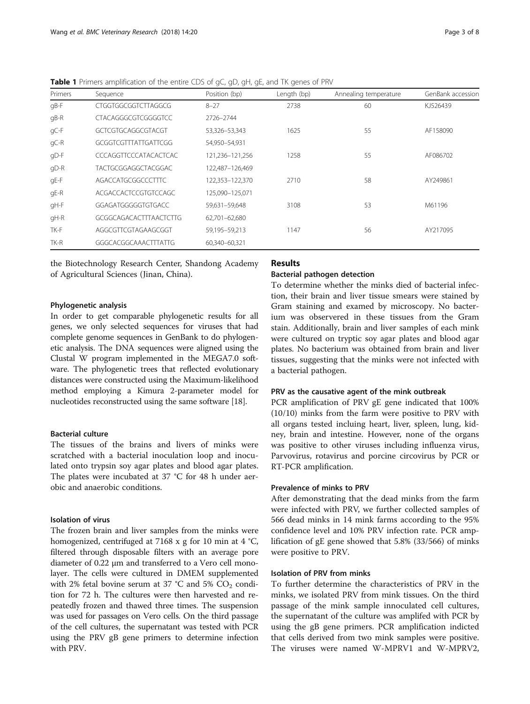| Primers | Sequence                      | Position (bp)   | Length (bp) | Annealing temperature | GenBank accessior |
|---------|-------------------------------|-----------------|-------------|-----------------------|-------------------|
| gB-F    | CTGGTGGCGGTCTTAGGCG           | $8 - 27$        | 2738        | 60                    | KJ526439          |
| $qB-R$  | <b>CTACAGGGCGTCGGGGTCC</b>    | 2726-2744       |             |                       |                   |
| gC-F    | GCTCGTGCAGGCGTACGT            | 53,326-53,343   | 1625        | 55                    | AF158090          |
| gC-R    | GCGGTCGTTTATTGATTCGG          | 54,950-54,931   |             |                       |                   |
| gD-F    | CCCAGGTTCCCATACACTCAC         | 121,236-121,256 | 1258        | 55                    | AF086702          |
| $qD-R$  | TACTGCGGAGGCTACGGAC           | 122,487-126,469 |             |                       |                   |
| gE-F    | AGACCATGCGGCCCTTTC            | 122,353-122,370 | 2710        | 58                    | AY249861          |
| gE-R    | ACGACCACTCCGTGTCCAGC          | 125,090-125,071 |             |                       |                   |
| gH-F    | GGAGATGGGGGTGTGACC            | 59,631-59,648   | 3108        | 53                    | M61196            |
| $qH-R$  | <b>GCGGCAGACACTTTAACTCTTG</b> | 62,701-62,680   |             |                       |                   |
| TK-F    | AGGCGTTCGTAGAAGCGGT           | 59,195-59,213   | 1147        | 56                    | AY217095          |
| TK-R    | GGGCACGGCAAACTTTATTG          | 60.340-60.321   |             |                       |                   |

<span id="page-2-0"></span>Table 1 Primers amplification of the entire CDS of gC, gD, gH, gE, and TK genes of PRV

the Biotechnology Research Center, Shandong Academy of Agricultural Sciences (Jinan, China).

# Phylogenetic analysis

In order to get comparable phylogenetic results for all genes, we only selected sequences for viruses that had complete genome sequences in GenBank to do phylogenetic analysis. The DNA sequences were aligned using the Clustal W program implemented in the MEGA7.0 software. The phylogenetic trees that reflected evolutionary distances were constructed using the Maximum-likelihood method employing a Kimura 2-parameter model for nucleotides reconstructed using the same software [\[18\]](#page-6-0).

# Bacterial culture

The tissues of the brains and livers of minks were scratched with a bacterial inoculation loop and inoculated onto trypsin soy agar plates and blood agar plates. The plates were incubated at 37 °C for 48 h under aerobic and anaerobic conditions.

# Isolation of virus

The frozen brain and liver samples from the minks were homogenized, centrifuged at 7168 x g for 10 min at 4  $°C$ , filtered through disposable filters with an average pore diameter of 0.22 μm and transferred to a Vero cell monolayer. The cells were cultured in DMEM supplemented with 2% fetal bovine serum at 37 °C and 5%  $CO<sub>2</sub>$  condition for 72 h. The cultures were then harvested and repeatedly frozen and thawed three times. The suspension was used for passages on Vero cells. On the third passage of the cell cultures, the supernatant was tested with PCR using the PRV gB gene primers to determine infection with PRV.

# Results

### Bacterial pathogen detection

To determine whether the minks died of bacterial infection, their brain and liver tissue smears were stained by Gram staining and examed by microscopy. No bacterium was observered in these tissues from the Gram stain. Additionally, brain and liver samples of each mink were cultured on tryptic soy agar plates and blood agar plates. No bacterium was obtained from brain and liver tissues, suggesting that the minks were not infected with a bacterial pathogen.

#### PRV as the causative agent of the mink outbreak

PCR amplification of PRV gE gene indicated that 100% (10/10) minks from the farm were positive to PRV with all organs tested incluing heart, liver, spleen, lung, kidney, brain and intestine. However, none of the organs was positive to other viruses including influenza virus, Parvovirus, rotavirus and porcine circovirus by PCR or RT-PCR amplification.

### Prevalence of minks to PRV

After demonstrating that the dead minks from the farm were infected with PRV, we further collected samples of 566 dead minks in 14 mink farms according to the 95% confidence level and 10% PRV infection rate. PCR amplification of gE gene showed that 5.8% (33/566) of minks were positive to PRV.

# Isolation of PRV from minks

To further determine the characteristics of PRV in the minks, we isolated PRV from mink tissues. On the third passage of the mink sample innoculated cell cultures, the supernatant of the culture was amplifed with PCR by using the gB gene primers. PCR amplification indicted that cells derived from two mink samples were positive. The viruses were named W-MPRV1 and W-MPRV2,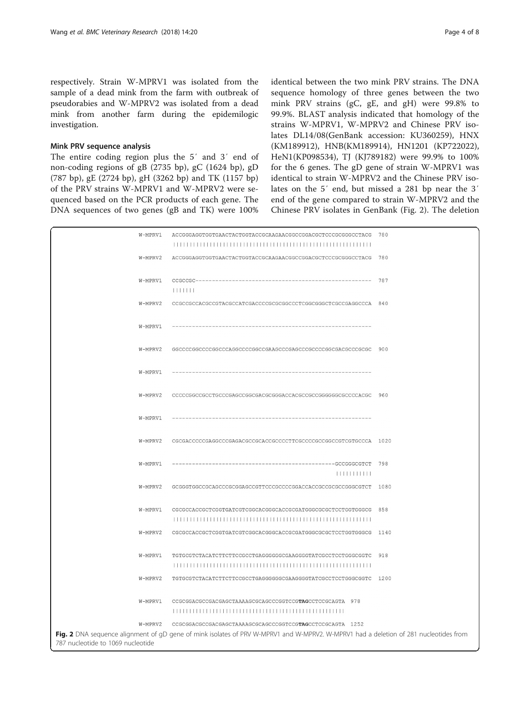respectively. Strain W-MPRV1 was isolated from the sample of a dead mink from the farm with outbreak of pseudorabies and W-MPRV2 was isolated from a dead mink from another farm during the epidemilogic investigation.

### Mink PRV sequence analysis

The entire coding region plus the 5′ and 3′ end of non-coding regions of gB (2735 bp), gC (1624 bp), gD (787 bp), gE (2724 bp), gH (3262 bp) and TK (1157 bp) of the PRV strains W-MPRV1 and W-MPRV2 were sequenced based on the PCR products of each gene. The DNA sequences of two genes (gB and TK) were 100% identical between the two mink PRV strains. The DNA sequence homology of three genes between the two mink PRV strains (gC, gE, and gH) were 99.8% to 99.9%. BLAST analysis indicated that homology of the strains W-MPRV1, W-MPRV2 and Chinese PRV isolates DL14/08(GenBank accession: KU360259), HNX (KM189912), HNB(KM189914), HN1201 (KP722022), HeN1(KP098534), TJ (KJ789182) were 99.9% to 100% for the 6 genes. The gD gene of strain W-MPRV1 was identical to strain W-MPRV2 and the Chinese PRV isolates on the 5′ end, but missed a 281 bp near the 3′ end of the gene compared to strain W-MPRV2 and the Chinese PRV isolates in GenBank (Fig. 2). The deletion

| W-MPRV1                                                                                                                                                                   | ACCGGGAGGTGGTGAACTACTGGTACCGCAAGAACGGCCGGACGCTCCCGCGGCCTACG 780   |     |  |  |  |  |
|---------------------------------------------------------------------------------------------------------------------------------------------------------------------------|-------------------------------------------------------------------|-----|--|--|--|--|
| W-MPRV2                                                                                                                                                                   | ACCGGGAGGTGGTGAACTACTGGTACCGCAAGAACGGCCGGACGCTCCCGCGGGCCTACG      | 780 |  |  |  |  |
| W-MPRV1                                                                                                                                                                   | 1111111                                                           | 787 |  |  |  |  |
| W-MPRV2                                                                                                                                                                   | CCGCCGCCACGCCGTACGCCATCGACCCCGCGCGCCCTCGGCGGCTCGCCGAGGCCCA 840    |     |  |  |  |  |
| W-MPRV1                                                                                                                                                                   |                                                                   |     |  |  |  |  |
| W-MPRV2                                                                                                                                                                   | GGCCCCGGCCCCGGCCCAGGCCCCGGCCGAAGCCCGAGCCCGCCCCGGCGACGCCCGCGC      | 900 |  |  |  |  |
| W-MPRV1                                                                                                                                                                   |                                                                   |     |  |  |  |  |
| W-MPRV2                                                                                                                                                                   | CCCCCGGCCGCCTGCCCGAGCCGGCGACGCGGACCACGCCGCCGGGGGGCGCCCCACGC 960   |     |  |  |  |  |
| W-MPRV1                                                                                                                                                                   |                                                                   |     |  |  |  |  |
| W-MPRV2                                                                                                                                                                   |                                                                   |     |  |  |  |  |
| W-MPRV1                                                                                                                                                                   | 111111111111                                                      | 798 |  |  |  |  |
| W-MPRV2                                                                                                                                                                   | GCGGGTGGCCGCAGCCCGCGGAGCCGTTCCCGCCCCGGACCACCGCCGCCGCCGGCGTCT 1080 |     |  |  |  |  |
| W-MPRV1                                                                                                                                                                   | CGCGCCACCGCTCGGTGATCGTCGGCACGGGCACCGCGATGGGCGCTCCTGGTGGCG 858     |     |  |  |  |  |
| W-MPRV2                                                                                                                                                                   | CGCGCCACCGCTCGGTGATCGTCGGCACGGGCACCGCGATGGGCGCGCTCCTGGTGGCG 1140  |     |  |  |  |  |
| W-MPRV1                                                                                                                                                                   | TGTGCGTCTACATCTTCTTCCGCCTGAGGGGGGCGAAGGGGTATCGCCTCCTGGGCGGTC      | 918 |  |  |  |  |
| W-MPRV2                                                                                                                                                                   | TGTGCGTCTACATCTTCTTCCGCCTGAGGGGGGCGAAGGGGTATCGCCTCCTGGGCGGTC 1200 |     |  |  |  |  |
| W-MPRV1                                                                                                                                                                   | CCGCGGACGCCGACGAGCTAAAAGCGCAGCCCGGTCCGTAGCCTCCGCAGTA 978          |     |  |  |  |  |
| W-MPRV2                                                                                                                                                                   | CCGCGGACGCCGACGAGCTAAAAGCGCAGCCCGGTCCGTAGCCTCCGCAGTA 1252         |     |  |  |  |  |
| Fig. 2 DNA sequence alignment of gD gene of mink isolates of PRV W-MPRV1 and W-MPRV2. W-MPRV1 had a deletion of 281 nucleotides from<br>787 nucleotide to 1069 nucleotide |                                                                   |     |  |  |  |  |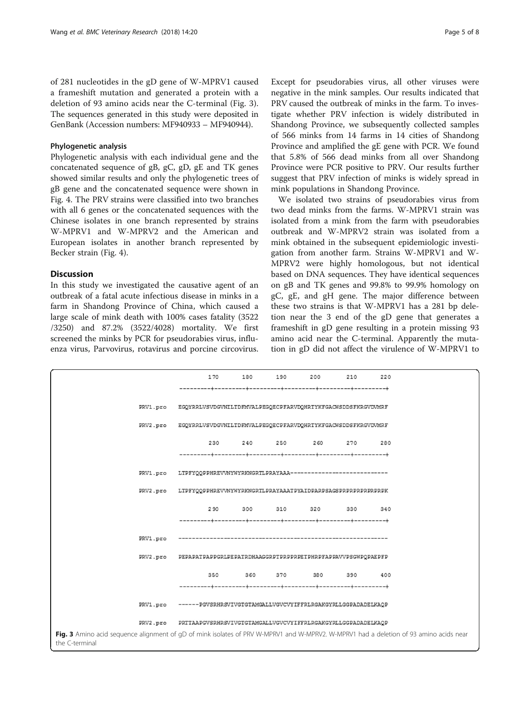of 281 nucleotides in the gD gene of W-MPRV1 caused a frameshift mutation and generated a protein with a deletion of 93 amino acids near the C-terminal (Fig. 3). The sequences generated in this study were deposited in GenBank (Accession numbers: MF940933 – MF940944).

# Phylogenetic analysis

Phylogenetic analysis with each individual gene and the concatenated sequence of gB, gC, gD, gE and TK genes showed similar results and only the phylogenetic trees of gB gene and the concatenated sequence were shown in Fig. [4](#page-5-0). The PRV strains were classified into two branches with all 6 genes or the concatenated sequences with the Chinese isolates in one branch represented by strains W-MPRV1 and W-MPRV2 and the American and European isolates in another branch represented by Becker strain (Fig. [4\)](#page-5-0).

### **Discussion**

In this study we investigated the causative agent of an outbreak of a fatal acute infectious disease in minks in a farm in Shandong Province of China, which caused a large scale of mink death with 100% cases fatality (3522 /3250) and 87.2% (3522/4028) mortality. We first screened the minks by PCR for pseudorabies virus, influenza virus, Parvovirus, rotavirus and porcine circovirus. Except for pseudorabies virus, all other viruses were negative in the mink samples. Our results indicated that PRV caused the outbreak of minks in the farm. To investigate whether PRV infection is widely distributed in Shandong Province, we subsequently collected samples of 566 minks from 14 farms in 14 cities of Shandong Province and amplified the gE gene with PCR. We found that 5.8% of 566 dead minks from all over Shandong Province were PCR positive to PRV. Our results further suggest that PRV infection of minks is widely spread in mink populations in Shandong Province.

We isolated two strains of pseudorabies virus from two dead minks from the farms. W-MPRV1 strain was isolated from a mink from the farm with pseudorabies outbreak and W-MPRV2 strain was isolated from a mink obtained in the subsequent epidemiologic investigation from another farm. Strains W-MPRV1 and W-MPRV2 were highly homologous, but not identical based on DNA sequences. They have identical sequences on gB and TK genes and 99.8% to 99.9% homology on gC, gE, and gH gene. The major difference between these two strains is that W-MPRV1 has a 281 bp deletion near the 3 end of the gD gene that generates a frameshift in gD gene resulting in a protein missing 93 amino acid near the C-terminal. Apparently the mutation in gD did not affect the virulence of W-MPRV1 to

|                                                                                                                                                         |          | 170                                                                                                                                            |  |  |  | 180 190 200             | 210 | 220 |  |  |
|---------------------------------------------------------------------------------------------------------------------------------------------------------|----------|------------------------------------------------------------------------------------------------------------------------------------------------|--|--|--|-------------------------|-----|-----|--|--|
|                                                                                                                                                         |          |                                                                                                                                                |  |  |  |                         |     |     |  |  |
|                                                                                                                                                         |          | PRV1.pro EGQYRRLVSVDGVNILTDFMVALPEGQECPFARVDQHRTYKFGACWSDDSFKRGVDVMRF                                                                          |  |  |  |                         |     |     |  |  |
|                                                                                                                                                         |          | PRV2.pro EGQYRRLVSVDGVNILTDFMVALPEGQECPFARVDQHRTYKFGACWSDDSFKRGVDVMRF                                                                          |  |  |  |                         |     |     |  |  |
|                                                                                                                                                         |          |                                                                                                                                                |  |  |  | 230 240 250 260 270     |     | 280 |  |  |
|                                                                                                                                                         |          |                                                                                                                                                |  |  |  |                         |     |     |  |  |
|                                                                                                                                                         |          | PRV1.pro LTPFYQQPPHREVVNYWYRKNGRTLPRAYAAA---------------------------                                                                           |  |  |  |                         |     |     |  |  |
|                                                                                                                                                         |          | PRV2.pro LTPFYQQPPHREVVNYWYRKNGRTLPRAYAAATPYAIDPARPSAGSPRPRPRPRPRPRPK                                                                          |  |  |  |                         |     |     |  |  |
|                                                                                                                                                         |          |                                                                                                                                                |  |  |  | 290 300 310 320 330     |     | 340 |  |  |
|                                                                                                                                                         |          |                                                                                                                                                |  |  |  |                         |     |     |  |  |
|                                                                                                                                                         | PRV1.pro |                                                                                                                                                |  |  |  |                         |     |     |  |  |
|                                                                                                                                                         |          | PRV2.pro PEPAPATPAPPGRLPEPATRDHAAGGRPTPRPPRPETPHRPFAPPAVVPSGWPQPAEPFP                                                                          |  |  |  |                         |     |     |  |  |
|                                                                                                                                                         |          |                                                                                                                                                |  |  |  | 350 360 370 380 390 400 |     |     |  |  |
|                                                                                                                                                         |          |                                                                                                                                                |  |  |  |                         |     |     |  |  |
|                                                                                                                                                         |          | PRV1.pro ------PGVSRHRSVIVGTGTAMGALLVGVCVYIFFRLRGAKGYRLLGGPADADEIKAQP<br>PRV2.pro PRTTAAPGVSRHRSVIVGTGTAMGALLVGVCVYIFFRLRGAKGYRLLGGPADADELKAQP |  |  |  |                         |     |     |  |  |
|                                                                                                                                                         |          |                                                                                                                                                |  |  |  |                         |     |     |  |  |
| Fig. 3 Amino acid sequence alignment of qD of mink isolates of PRV W-MPRV1 and W-MPRV2. W-MPRV1 had a deletion of 93 amino acids near<br>the C-terminal |          |                                                                                                                                                |  |  |  |                         |     |     |  |  |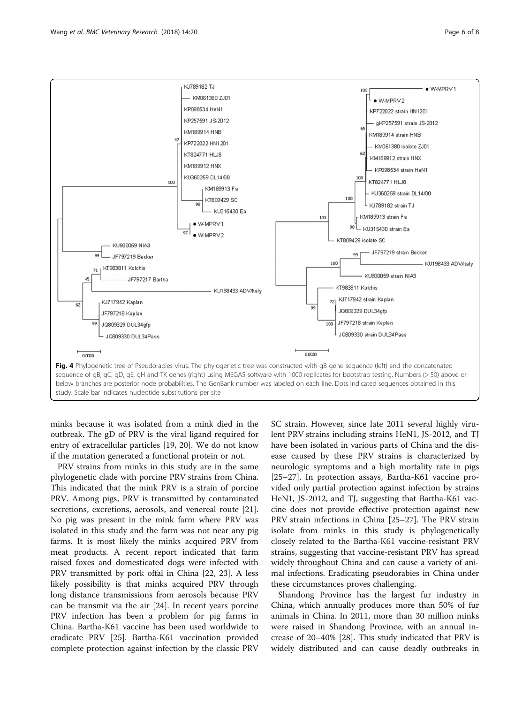

<span id="page-5-0"></span>

minks because it was isolated from a mink died in the outbreak. The gD of PRV is the viral ligand required for entry of extracellular particles [\[19](#page-6-0), [20\]](#page-6-0). We do not know if the mutation generated a functional protein or not.

PRV strains from minks in this study are in the same phylogenetic clade with porcine PRV strains from China. This indicated that the mink PRV is a strain of porcine PRV. Among pigs, PRV is transmitted by contaminated secretions, excretions, aerosols, and venereal route [\[21](#page-6-0)]. No pig was present in the mink farm where PRV was isolated in this study and the farm was not near any pig farms. It is most likely the minks acquired PRV from meat products. A recent report indicated that farm raised foxes and domesticated dogs were infected with PRV transmitted by pork offal in China [[22](#page-6-0), [23](#page-7-0)]. A less likely possibility is that minks acquired PRV through long distance transmissions from aerosols because PRV can be transmit via the air [[24\]](#page-7-0). In recent years porcine PRV infection has been a problem for pig farms in China. Bartha-K61 vaccine has been used worldwide to eradicate PRV [\[25](#page-7-0)]. Bartha-K61 vaccination provided complete protection against infection by the classic PRV

SC strain. However, since late 2011 several highly virulent PRV strains including strains HeN1, JS-2012, and TJ have been isolated in various parts of China and the disease caused by these PRV strains is characterized by neurologic symptoms and a high mortality rate in pigs [[25](#page-7-0)–[27](#page-7-0)]. In protection assays, Bartha-K61 vaccine provided only partial protection against infection by strains HeN1, JS-2012, and TJ, suggesting that Bartha-K61 vaccine does not provide effective protection against new PRV strain infections in China [[25](#page-7-0)–[27](#page-7-0)]. The PRV strain isolate from minks in this study is phylogenetically closely related to the Bartha-K61 vaccine-resistant PRV strains, suggesting that vaccine-resistant PRV has spread widely throughout China and can cause a variety of animal infections. Eradicating pseudorabies in China under these circumstances proves challenging.

Shandong Province has the largest fur industry in China, which annually produces more than 50% of fur animals in China. In 2011, more than 30 million minks were raised in Shandong Province, with an annual increase of 20–40% [\[28\]](#page-7-0). This study indicated that PRV is widely distributed and can cause deadly outbreaks in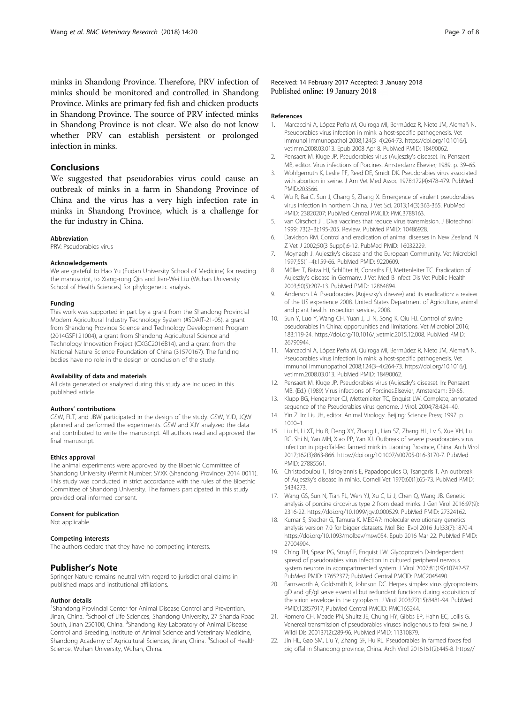<span id="page-6-0"></span>minks in Shandong Province. Therefore, PRV infection of minks should be monitored and controlled in Shandong Province. Minks are primary fed fish and chicken products in Shandong Province. The source of PRV infected minks in Shandong Province is not clear. We also do not know whether PRV can establish persistent or prolonged infection in minks.

### Conclusions

We suggested that pseudorabies virus could cause an outbreak of minks in a farm in Shandong Province of China and the virus has a very high infection rate in minks in Shandong Province, which is a challenge for the fur industry in China.

#### Abbreviation

PRV: Pseudorabies virus

#### Acknowledgements

We are grateful to Hao Yu (Fudan University School of Medicine) for reading the manuscript, to Xiang-rong Qin and Jian-Wei Liu (Wuhan University School of Health Sciences) for phylogenetic analysis.

#### Funding

This work was supported in part by a grant from the Shandong Provincial Modern Agricultural Industry Technology System (#SDAIT-21-05), a grant from Shandong Province Science and Technology Development Program (2014GSF121004), a grant from Shandong Agricultural Science and Technology Innovation Project (CXGC2016B14), and a grant from the National Nature Science Foundation of China (31570167). The funding bodies have no role in the design or conclusion of the study.

#### Availability of data and materials

All data generated or analyzed during this study are included in this published article.

#### Authors' contributions

GSW, FLT, and JBW participated in the design of the study. GSW, YJD, JQW planned and performed the experiments. GSW and XJY analyzed the data and contributed to write the manuscript. All authors read and approved the final manuscript.

#### Ethics approval

The animal experiments were approved by the Bioethic Committee of Shandong University (Permit Number: SYXK (Shandong Province) 2014 0011). This study was conducted in strict accordance with the rules of the Bioethic Committee of Shandong University. The farmers participated in this study provided oral informed consent.

#### Consent for publication

Not applicable.

#### Competing interests

The authors declare that they have no competing interests.

### Publisher's Note

Springer Nature remains neutral with regard to jurisdictional claims in published maps and institutional affiliations.

### Author details

<sup>1</sup>Shandong Provincial Center for Animal Disease Control and Prevention, Jinan, China. <sup>2</sup>School of Life Sciences, Shandong University, 27 Shanda Road South, Jinan 250100, China. <sup>3</sup>Shandong Key Laboratory of Animal Disease Control and Breeding, Institute of Animal Science and Veterinary Medicine, Shandong Academy of Agricultural Sciences, Jinan, China. <sup>4</sup>School of Health Science, Wuhan University, Wuhan, China.

Received: 14 February 2017 Accepted: 3 January 2018 Published online: 19 January 2018

#### References

- 1. Marcaccini A, López Peña M, Quiroga MI, Bermúdez R, Nieto JM, Alemañ N. Pseudorabies virus infection in mink: a host-specific pathogenesis. Vet Immunol Immunopathol 2008;124(3–4):264-73. [https://doi.org/10.1016/j.](http://dx.doi.org/10.1016/j.vetimm.2008.03.013) [vetimm.2008.03.013.](http://dx.doi.org/10.1016/j.vetimm.2008.03.013) Epub 2008 Apr 8. PubMed PMID: 18490062.
- 2. Pensaert M, Kluge JP. Pseudorabies virus (Aujeszky's disease). In: Pensaert MB, editor. Virus infections of Porcines. Amsterdam: Elsevier; 1989. p. 39–65.
- 3. Wohlgemuth K, Leslie PF, Reed DE, Smidt DK. Pseudorabies virus associated with abortion in swine. J Am Vet Med Assoc 1978;172(4):478-479. PubMed PMID:203566.
- 4. Wu R, Bai C, Sun J, Chang S, Zhang X. Emergence of virulent pseudorabies virus infection in northern China. J Vet Sci. 2013;14(3):363-365. PubMed PMID: 23820207; PubMed Central PMCID: [PMC3788163.](https://www.ncbi.nlm.nih.gov/pubmed/PMC3788163)
- 5. van Oirschot JT. Diva vaccines that reduce virus transmission. J Biotechnol 1999; 73(2–3):195-205. Review. PubMed PMID: [10486928.](https://www.ncbi.nlm.nih.gov/pubmed/10486928)
- 6. Davidson RM. Control and eradication of animal diseases in New Zealand. N Z Vet J 2002;50(3 Suppl):6-12. PubMed PMID: [16032229](https://www.ncbi.nlm.nih.gov/pubmed/16032229).
- 7. Moynagh J. Aujeszky's disease and the European Community. Vet Microbiol 1997;55(1–4):159-66. PubMed PMID: 9220609.
- 8. Müller T, Bätza HJ, Schlüter H, Conraths FJ, Mettenleiter TC. Eradication of Aujeszky's disease in Germany. J Vet Med B Infect Dis Vet Public Health 2003;50(5):207-13. PubMed PMID: 12864894.
- 9. Anderson LA. Pseudorabies (Aujeszky's disease) and its eradication: a review of the US experience 2008. United States Department of Agriculture, animal and plant health inspection service., 2008.
- 10. Sun Y, Luo Y, Wang CH, Yuan J, Li N, Song K, Qiu HJ. Control of swine pseudorabies in China: opportunities and limitations. Vet Microbiol 2016; 183:119-24. [https://doi.org/10.1016/j.vetmic.2015.12.008.](http://dx.doi.org/10.1016/j.vetmic.2015.12.008) PubMed PMID: [26790944](https://www.ncbi.nlm.nih.gov/pubmed/26790944).
- 11. Marcaccini A, López Peña M, Quiroga MI, Bermúdez R, Nieto JM, Alemañ N. Pseudorabies virus infection in mink: a host-specific pathogenesis. Vet Immunol Immunopathol 2008;124(3–4):264-73. [https://doi.org/10.1016/j.](http://dx.doi.org/10.1016/j.vetimm.2008.03.013) [vetimm.2008.03.013.](http://dx.doi.org/10.1016/j.vetimm.2008.03.013) PubMed PMID: [18490062.](https://www.ncbi.nlm.nih.gov/pubmed/18490062)
- 12. Pensaert M, Kluge JP. Pseudorabies virus (Aujeszky's disease). In: Pensaert MB. (Ed.) (1989) Virus infections of Porcines.Elsevier, Amsterdam: 39-65.
- 13. Klupp BG, Hengartner CJ, Mettenleiter TC, Enquist LW. Complete, annotated sequence of the Pseudorabies virus genome. J Virol. 2004;78:424–40.
- 14. Yin Z. In: Liu JH, editor. Animal Virology. Beijing: Science Press; 1997. p. 1000–1.
- 15. Liu H, Li XT, Hu B, Deng XY, Zhang L, Lian SZ, Zhang HL, Lv S, Xue XH, Lu RG, Shi N, Yan MH, Xiao PP, Yan XJ. Outbreak of severe pseudorabies virus infection in pig-offal-fed farmed mink in Liaoning Province, China. Arch Virol 2017;162(3):863-866. [https://doi.org/10.1007/s00705-016-3170-7](http://dx.doi.org/10.1007/s00705-016-3170-7). PubMed PMID: [27885561](https://www.ncbi.nlm.nih.gov/pubmed/27885561).
- 16. Christodoulou T, Tsiroyiannis E, Papadopoulos O, Tsangaris T. An outbreak of Aujeszky's disease in minks. Cornell Vet 1970;60(1):65-73. PubMed PMID: 5434273.
- 17. Wang GS, Sun N, Tian FL, Wen YJ, Xu C, Li J, Chen Q, Wang JB. Genetic analysis of porcine circovirus type 2 from dead minks. J Gen Virol 2016;97(9): 2316-22. [https://doi.org/10.1099/jgv.0.000529.](http://dx.doi.org/10.1099/jgv.0.000529) PubMed PMID: [27324162.](https://www.ncbi.nlm.nih.gov/pubmed/27324162)
- 18. Kumar S, Stecher G, Tamura K. MEGA7: molecular evolutionary genetics analysis version 7.0 for bigger datasets. Mol Biol Evol 2016 Jul;33(7):1870-4. [https://doi.org/10.1093/molbev/msw054.](http://dx.doi.org/10.1093/molbev/msw054) Epub 2016 Mar 22. PubMed PMID: [27004904](https://www.ncbi.nlm.nih.gov/pubmed/27004904).
- 19. Ch'ng TH, Spear PG, Struyf F, Enquist LW. Glycoprotein D-independent spread of pseudorabies virus infection in cultured peripheral nervous system neurons in acompartmented system. J Virol 2007;81(19):10742-57. PubMed PMID: [17652377;](https://www.ncbi.nlm.nih.gov/pubmed/17652377) PubMed Central PMCID: [PMC2045490.](https://www.ncbi.nlm.nih.gov/pubmed/PMC2045490)
- 20. Farnsworth A, Goldsmith K, Johnson DC. Herpes simplex virus glycoproteins gD and gE/gI serve essential but redundant functions during acquisition of the virion envelope in the cytoplasm. J Virol 2003;77(15):8481-94. PubMed PMID[:12857917](https://www.ncbi.nlm.nih.gov/pubmed/12857917); PubMed Central PMCID: [PMC165244.](https://www.ncbi.nlm.nih.gov/pubmed/PMC165244)
- 21. Romero CH, Meade PN, Shultz JE, Chung HY, Gibbs EP, Hahn EC, Lollis G. Venereal transmission of pseudorabies viruses indigenous to feral swine. J Wildl Dis 200137(2):289-96. PubMed PMID: 11310879.
- 22. Jin HL, Gao SM, Liu Y, Zhang SF, Hu RL. Pseudorabies in farmed foxes fed pig offal in Shandong province, China. Arch Virol 2016161(2):445-8. [https://](http://dx.doi.org/10.1007/s00705-015-2659-9)